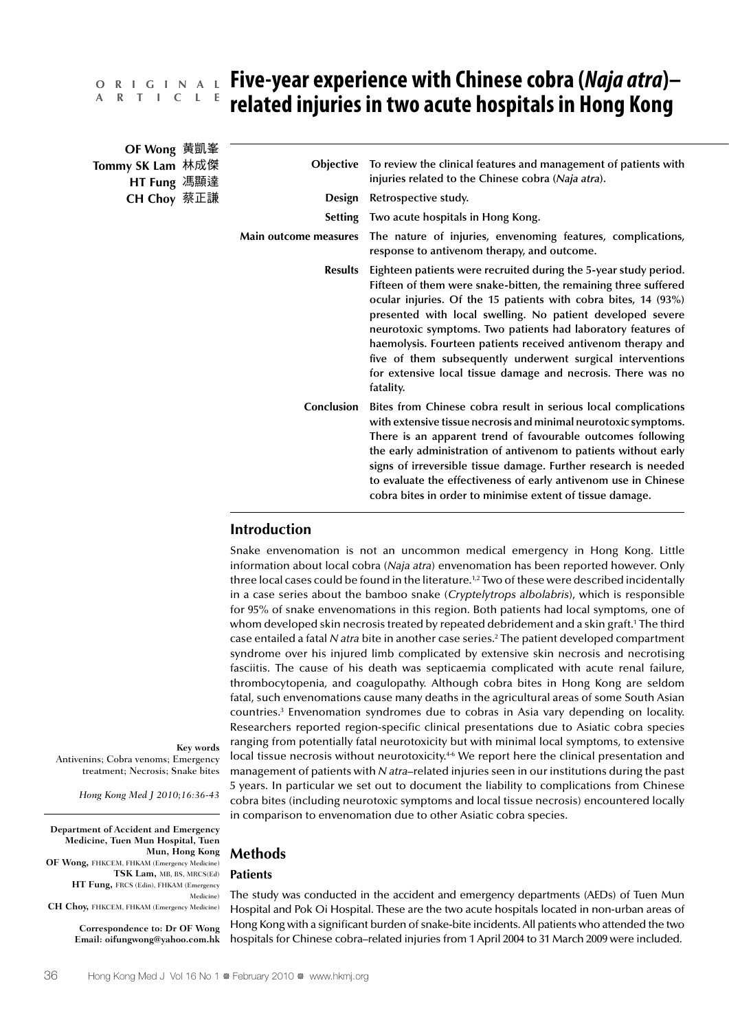# **Five-year experience with Chinese cobra (***Naja atra***)– O R I G I N A L related injuries in two acute hospitals in Hong Kong A R T I C L E**

| OF Wong 黄凱峯                     |                       |                                                                                                                                                                                                                                                                                                                                                                                                                                                                                                                                                |
|---------------------------------|-----------------------|------------------------------------------------------------------------------------------------------------------------------------------------------------------------------------------------------------------------------------------------------------------------------------------------------------------------------------------------------------------------------------------------------------------------------------------------------------------------------------------------------------------------------------------------|
| Tommy SK Lam 林成傑<br>HT Fung 馮顯達 | <b>Objective</b>      | To review the clinical features and management of patients with<br>injuries related to the Chinese cobra (Naja atra).                                                                                                                                                                                                                                                                                                                                                                                                                          |
| CH Choy 蔡正謙                     | Design                | Retrospective study.                                                                                                                                                                                                                                                                                                                                                                                                                                                                                                                           |
|                                 | <b>Setting</b>        | Two acute hospitals in Hong Kong.                                                                                                                                                                                                                                                                                                                                                                                                                                                                                                              |
|                                 | Main outcome measures | The nature of injuries, envenoming features, complications,<br>response to antivenom therapy, and outcome.                                                                                                                                                                                                                                                                                                                                                                                                                                     |
|                                 | <b>Results</b>        | Eighteen patients were recruited during the 5-year study period.<br>Fifteen of them were snake-bitten, the remaining three suffered<br>ocular injuries. Of the 15 patients with cobra bites, 14 (93%)<br>presented with local swelling. No patient developed severe<br>neurotoxic symptoms. Two patients had laboratory features of<br>haemolysis. Fourteen patients received antivenom therapy and<br>five of them subsequently underwent surgical interventions<br>for extensive local tissue damage and necrosis. There was no<br>fatality. |
|                                 | Conclusion            | Bites from Chinese cobra result in serious local complications<br>with extensive tissue necrosis and minimal neurotoxic symptoms.<br>There is an apparent trend of favourable outcomes following<br>the early administration of antivenom to patients without early<br>signs of irreversible tissue damage. Further research is needed<br>to evaluate the effectiveness of early antivenom use in Chinese<br>cobra bites in order to minimise extent of tissue damage.                                                                         |

# **Introduction**

Snake envenomation is not an uncommon medical emergency in Hong Kong. Little information about local cobra (*Naja atra*) envenomation has been reported however. Only three local cases could be found in the literature.<sup>1,2</sup> Two of these were described incidentally in a case series about the bamboo snake (*Cryptelytrops albolabris*), which is responsible for 95% of snake envenomations in this region. Both patients had local symptoms, one of whom developed skin necrosis treated by repeated debridement and a skin graft.<sup>1</sup> The third case entailed a fatal *N atra* bite in another case series.2 The patient developed compartment syndrome over his injured limb complicated by extensive skin necrosis and necrotising fasciitis. The cause of his death was septicaemia complicated with acute renal failure, thrombocytopenia, and coagulopathy. Although cobra bites in Hong Kong are seldom fatal, such envenomations cause many deaths in the agricultural areas of some South Asian countries.3 Envenomation syndromes due to cobras in Asia vary depending on locality. Researchers reported region-specific clinical presentations due to Asiatic cobra species ranging from potentially fatal neurotoxicity but with minimal local symptoms, to extensive local tissue necrosis without neurotoxicity.<sup>46</sup> We report here the clinical presentation and management of patients with *N atra*–related injuries seen in our institutions during the past 5 years. In particular we set out to document the liability to complications from Chinese cobra bites (including neurotoxic symptoms and local tissue necrosis) encountered locally in comparison to envenomation due to other Asiatic cobra species.

**Key words** Antivenins; Cobra venoms; Emergency treatment; Necrosis; Snake bites

*Hong Kong Med J 2010;16:36-43*

**Department of Accident and Emergency Medicine, Tuen Mun Hospital, Tuen Mun, Hong Kong OF Wong,** FHKCEM, FHKAM (Emergency Medicine) **TSK Lam,** MB, BS, MRCS(Ed) **HT Fung,** FRCS (Edin), FHKAM (Emergency Medicine)

**CH Choy,** FHKCEM, FHKAM (Emergency Medicine)

**Correspondence to: Dr OF Wong Email: oifungwong@yahoo.com.hk**

# **Methods**

# **Patients**

The study was conducted in the accident and emergency departments (AEDs) of Tuen Mun Hospital and Pok Oi Hospital. These are the two acute hospitals located in non-urban areas of Hong Kong with a significant burden of snake-bite incidents. All patients who attended the two hospitals for Chinese cobra–related injuries from 1 April 2004 to 31 March 2009 were included.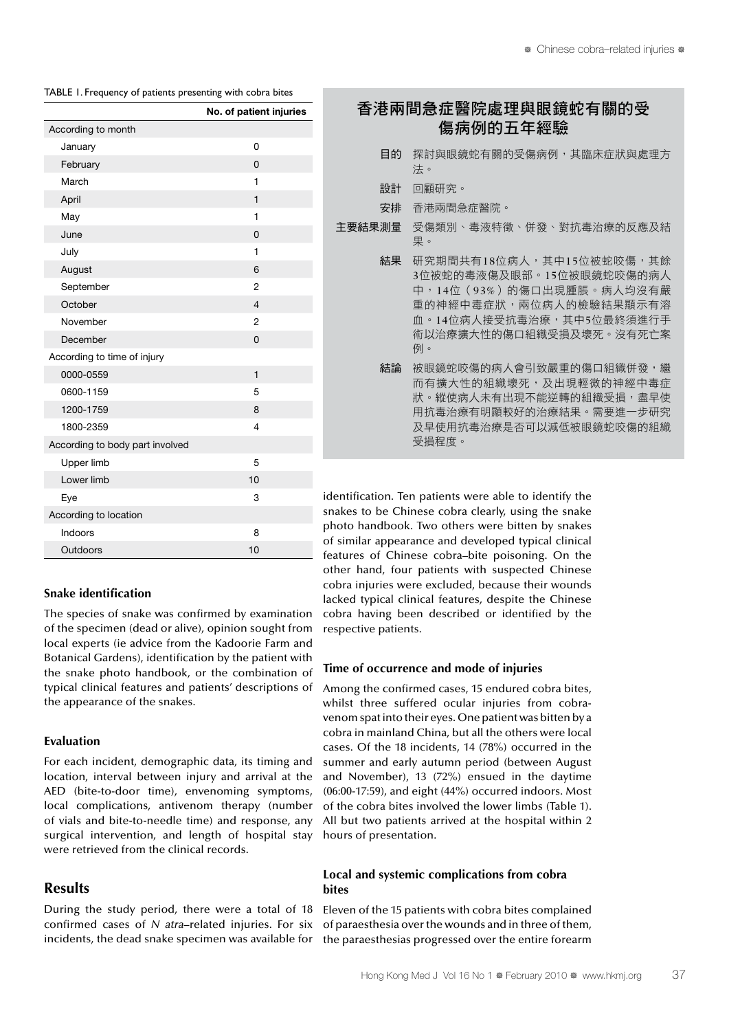| TABLE 1. Frequency of patients presenting with cobra bites |  |
|------------------------------------------------------------|--|
|------------------------------------------------------------|--|

|                                 | No. of patient injuries |
|---------------------------------|-------------------------|
| According to month              |                         |
| January                         | 0                       |
| February                        | 0                       |
| March                           | 1                       |
| April                           | $\mathbf{1}$            |
| May                             | 1                       |
| June                            | 0                       |
| July                            | 1                       |
| August                          | 6                       |
| September                       | 2                       |
| October                         | $\overline{4}$          |
| November                        | $\overline{2}$          |
| December                        | $\Omega$                |
| According to time of injury     |                         |
| 0000-0559                       | $\mathbf{1}$            |
| 0600-1159                       | 5                       |
| 1200-1759                       | 8                       |
| 1800-2359                       | $\overline{4}$          |
| According to body part involved |                         |
| Upper limb                      | 5                       |
| Lower limb                      | 10                      |
| Eye                             | 3                       |
| According to location           |                         |
| Indoors                         | 8                       |
| Outdoors                        | 10                      |

#### **Snake identification**

The species of snake was confirmed by examination of the specimen (dead or alive), opinion sought from local experts (ie advice from the Kadoorie Farm and Botanical Gardens), identification by the patient with the snake photo handbook, or the combination of typical clinical features and patients' descriptions of the appearance of the snakes.

#### **Evaluation**

For each incident, demographic data, its timing and location, interval between injury and arrival at the AED (bite-to-door time), envenoming symptoms, local complications, antivenom therapy (number of vials and bite-to-needle time) and response, any surgical intervention, and length of hospital stay were retrieved from the clinical records.

# **Results**

During the study period, there were a total of 18 confirmed cases of *N atra*–related injuries. For six incidents, the dead snake specimen was available for

|        | 香港兩間急症醫院處理與眼鏡蛇有關的受<br>傷病例的五年經驗                                                                                                                                          |
|--------|-------------------------------------------------------------------------------------------------------------------------------------------------------------------------|
| 目的     | 探討與眼鏡蛇有關的受傷病例,其臨床症狀與處理方<br>法。                                                                                                                                           |
| 設計     | 回顧研究。                                                                                                                                                                   |
| 安排     | 香港兩間急症醫院。                                                                                                                                                               |
| 主要結果測量 | 受傷類別、毒液特徵、併發、對抗毒治療的反應及結<br>果。                                                                                                                                           |
| 結果     | 研究期間共有18位病人,其中15位被蛇咬傷,其餘<br>3位被蛇的毒液傷及眼部。15位被眼鏡蛇咬傷的病人<br>中,14位(93%)的傷口出現腫脹。病人均沒有嚴<br>重的神經中毒症狀,兩位病人的檢驗結果顯示有溶<br>血。14位病人接受抗毒治療,其中5位最終須進行手<br>術以治療擴大性的傷口組織受捐及壞死。沒有死亡案<br>例。 |
| 結論     | 被眼鏡蛇咬傷的病人會引致嚴重的傷口組織併發,繼<br>而有擴大性的組織壞死,及出現輕微的神經中毒症<br>狀。縱使病人未有出現不能逆轉的組織受損,盡早使<br>用抗毒治療有明顯較好的治療結果。需要進一步研究<br>及早使用抗毒治療是否可以減低被眼鏡蛇咬傷的組織<br>受損程度。                             |
|        | antification. Ton matiqueta waxa alala ta idantifu tha                                                                                                                  |

identification. Ten patients were able to identify the snakes to be Chinese cobra clearly, using the snake photo handbook. Two others were bitten by snakes of similar appearance and developed typical clinical features of Chinese cobra–bite poisoning. On the other hand, four patients with suspected Chinese cobra injuries were excluded, because their wounds lacked typical clinical features, despite the Chinese cobra having been described or identified by the respective patients.

## **Time of occurrence and mode of injuries**

Among the confirmed cases, 15 endured cobra bites, whilst three suffered ocular injuries from cobravenom spat into their eyes. One patient was bitten by a cobra in mainland China, but all the others were local cases. Of the 18 incidents, 14 (78%) occurred in the summer and early autumn period (between August and November), 13 (72%) ensued in the daytime (06:00-17:59), and eight (44%) occurred indoors. Most of the cobra bites involved the lower limbs (Table 1). All but two patients arrived at the hospital within 2 hours of presentation.

## **Local and systemic complications from cobra bites**

Eleven of the 15 patients with cobra bites complained of paraesthesia over the wounds and in three of them, the paraesthesias progressed over the entire forearm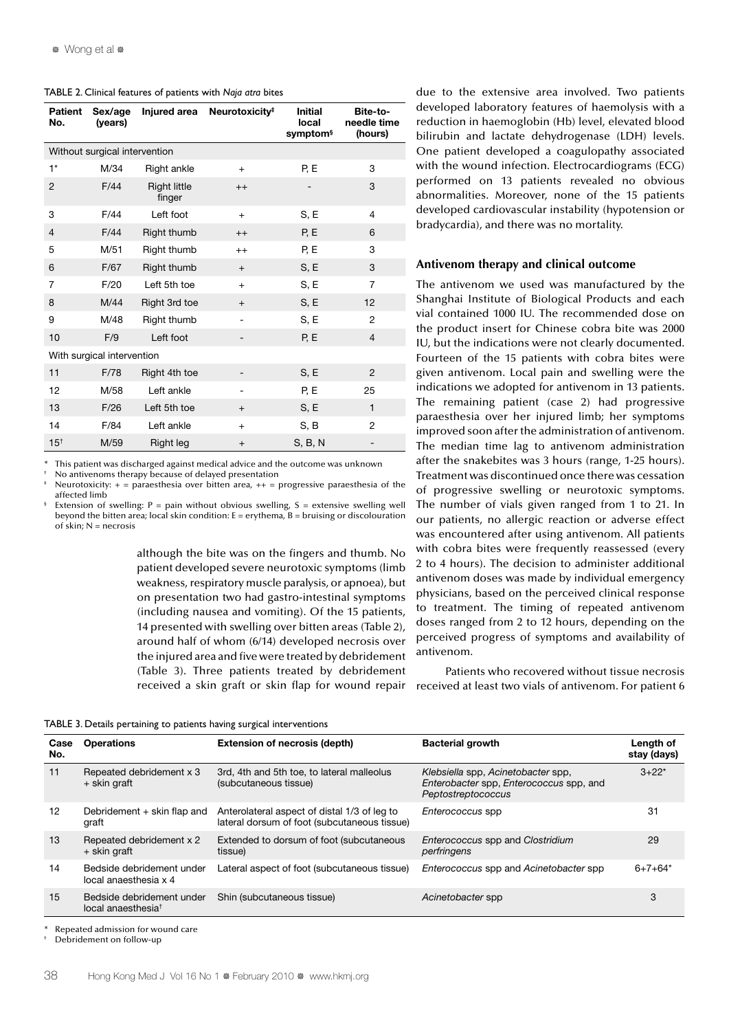| TABLE 2. Clinical features of patients with Naja atra bites |  |  |  |
|-------------------------------------------------------------|--|--|--|
|-------------------------------------------------------------|--|--|--|

| <b>Patient</b><br>No. | Sex/age<br>(years)            |                               | Injured area Neurotoxicity <sup>#</sup> | <b>Initial</b><br>local<br>symptom <sup>§</sup> | Bite-to-<br>needle time<br>(hours) |
|-----------------------|-------------------------------|-------------------------------|-----------------------------------------|-------------------------------------------------|------------------------------------|
|                       | Without surgical intervention |                               |                                         |                                                 |                                    |
| $1*$                  | M/34                          | Right ankle                   | $+$                                     | P, E                                            | 3                                  |
| $\overline{2}$        | F/44                          | <b>Right little</b><br>finger | $++$                                    |                                                 | 3                                  |
| 3                     | F/44                          | Left foot                     | $+$                                     | S, E                                            | 4                                  |
| $\overline{4}$        | F/44                          | Right thumb                   | $++$                                    | P, E                                            | 6                                  |
| 5                     | M/51                          | Right thumb                   | $++$                                    | P, E                                            | 3                                  |
| 6                     | F/67                          | Right thumb                   | $+$                                     | S, E                                            | 3                                  |
| 7                     | F/20                          | Left 5th toe                  | $+$                                     | S, E                                            | $\overline{7}$                     |
| 8                     | M/44                          | Right 3rd toe                 | $+$                                     | S, E                                            | 12                                 |
| 9                     | M/48                          | Right thumb                   |                                         | S, E                                            | $\overline{2}$                     |
| 10                    | F/9                           | Left foot                     |                                         | P, E                                            | $\overline{4}$                     |
|                       | With surgical intervention    |                               |                                         |                                                 |                                    |
| 11                    | F/78                          | Right 4th toe                 |                                         | S, E                                            | 2                                  |
| 12                    | M/58                          | Left ankle                    |                                         | P, E                                            | 25                                 |
| 13                    | F/26                          | Left 5th toe                  | $+$                                     | S, E                                            | $\mathbf{1}$                       |
| 14                    | F/84                          | Left ankle                    | $+$                                     | S, B                                            | $\overline{c}$                     |
| 15 <sup>†</sup>       | M/59                          | Right leg                     | $+$                                     | S, B, N                                         |                                    |

This patient was discharged against medical advice and the outcome was unknown

No antivenoms therapy because of delayed presentation

Neurotoxicity:  $+$  = paraesthesia over bitten area,  $++$  = progressive paraesthesia of the affected limb

Extension of swelling:  $P =$  pain without obvious swelling,  $S =$  extensive swelling well beyond the bitten area; local skin condition:  $E = \text{erythema}, B = \text{bruising or discolouration}$ of skin:  $N =$  necrosis

> although the bite was on the fingers and thumb. No patient developed severe neurotoxic symptoms (limb weakness, respiratory muscle paralysis, or apnoea), but on presentation two had gastro-intestinal symptoms (including nausea and vomiting). Of the 15 patients, 14 presented with swelling over bitten areas (Table 2), around half of whom (6/14) developed necrosis over the injured area and five were treated by debridement (Table 3). Three patients treated by debridement received a skin graft or skin flap for wound repair

due to the extensive area involved. Two patients developed laboratory features of haemolysis with a reduction in haemoglobin (Hb) level, elevated blood bilirubin and lactate dehydrogenase (LDH) levels. One patient developed a coagulopathy associated with the wound infection. Electrocardiograms (ECG) performed on 13 patients revealed no obvious abnormalities. Moreover, none of the 15 patients developed cardiovascular instability (hypotension or bradycardia), and there was no mortality.

#### **Antivenom therapy and clinical outcome**

The antivenom we used was manufactured by the Shanghai Institute of Biological Products and each vial contained 1000 IU. The recommended dose on the product insert for Chinese cobra bite was 2000 IU, but the indications were not clearly documented. Fourteen of the 15 patients with cobra bites were given antivenom. Local pain and swelling were the indications we adopted for antivenom in 13 patients. The remaining patient (case 2) had progressive paraesthesia over her injured limb; her symptoms improved soon after the administration of antivenom. The median time lag to antivenom administration after the snakebites was 3 hours (range, 1-25 hours). Treatment was discontinued once there was cessation of progressive swelling or neurotoxic symptoms. The number of vials given ranged from 1 to 21. In our patients, no allergic reaction or adverse effect was encountered after using antivenom. All patients with cobra bites were frequently reassessed (every 2 to 4 hours). The decision to administer additional antivenom doses was made by individual emergency physicians, based on the perceived clinical response to treatment. The timing of repeated antivenom doses ranged from 2 to 12 hours, depending on the perceived progress of symptoms and availability of antivenom.

Patients who recovered without tissue necrosis received at least two vials of antivenom. For patient 6

TABLE 3. Details pertaining to patients having surgical interventions

| Case<br>No. | <b>Operations</b>                                           | <b>Extension of necrosis (depth)</b>                                                         | <b>Bacterial growth</b>                                                                             | Length of<br>stay (days) |
|-------------|-------------------------------------------------------------|----------------------------------------------------------------------------------------------|-----------------------------------------------------------------------------------------------------|--------------------------|
| 11          | Repeated debridement x 3<br>+ skin graft                    | 3rd, 4th and 5th toe, to lateral malleolus<br>(subcutaneous tissue)                          | Klebsiella spp, Acinetobacter spp,<br>Enterobacter spp, Enterococcus spp, and<br>Peptostreptococcus | $3+22*$                  |
| 12          | Debridement + skin flap and<br>graft                        | Anterolateral aspect of distal 1/3 of leg to<br>lateral dorsum of foot (subcutaneous tissue) | Enterococcus spp                                                                                    | 31                       |
| 13          | Repeated debridement x 2<br>+ skin graft                    | Extended to dorsum of foot (subcutaneous<br>tissue)                                          | Enterococcus spp and Clostridium<br>perfringens                                                     | 29                       |
| 14          | Bedside debridement under<br>local anaesthesia x 4          | Lateral aspect of foot (subcutaneous tissue)                                                 | Enterococcus spp and Acinetobacter spp                                                              | $6+7+64*$                |
| 15          | Bedside debridement under<br>local anaesthesia <sup>t</sup> | Shin (subcutaneous tissue)                                                                   | Acinetobacter spp                                                                                   | 3                        |

Repeated admission for wound care

† Debridement on follow-up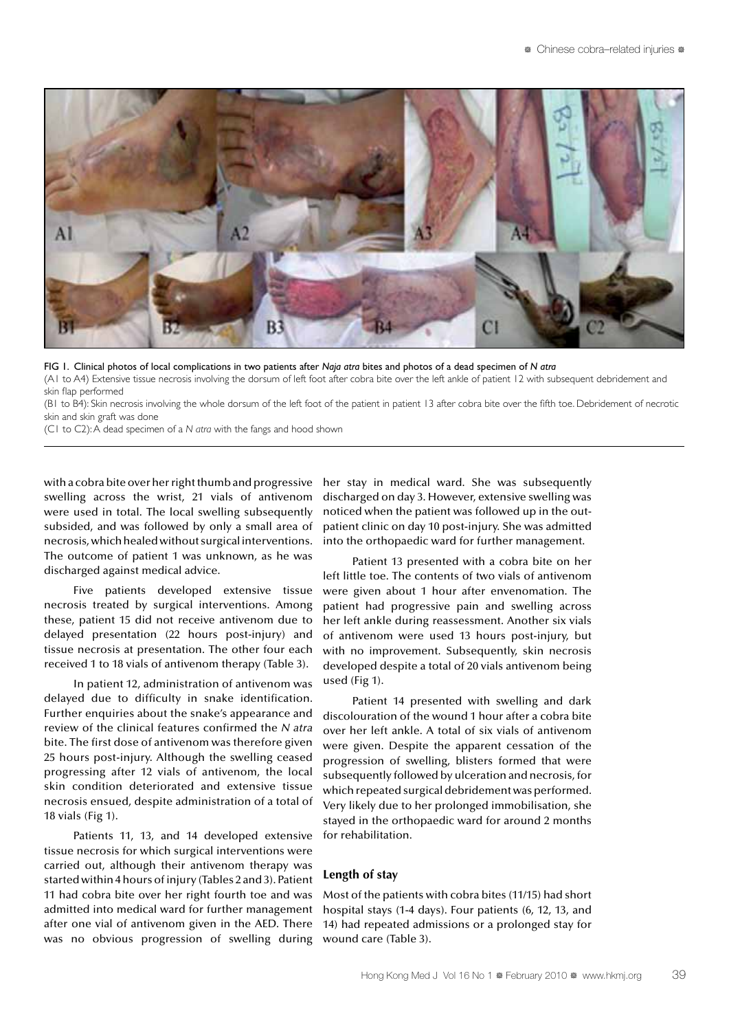

FIG 1. Clinical photos of local complications in two patients after *Naja atra* bites and photos of a dead specimen of *N atra*

(A1 to A4) Extensive tissue necrosis involving the dorsum of left foot after cobra bite over the left ankle of patient 12 with subsequent debridement and skin flap performed

(B1 to B4): Skin necrosis involving the whole dorsum of the left foot of the patient in patient 13 after cobra bite over the fifth toe. Debridement of necrotic skin and skin graft was done

(C1 to C2): A dead specimen of a *N atra* with the fangs and hood shown

with a cobra bite over her right thumb and progressive swelling across the wrist, 21 vials of antivenom were used in total. The local swelling subsequently subsided, and was followed by only a small area of necrosis, which healed without surgical interventions. The outcome of patient 1 was unknown, as he was discharged against medical advice.

Five patients developed extensive tissue necrosis treated by surgical interventions. Among these, patient 15 did not receive antivenom due to delayed presentation (22 hours post-injury) and tissue necrosis at presentation. The other four each received 1 to 18 vials of antivenom therapy (Table 3).

In patient 12, administration of antivenom was delayed due to difficulty in snake identification. Further enquiries about the snake's appearance and review of the clinical features confirmed the *N atra* bite. The first dose of antivenom was therefore given 25 hours post-injury. Although the swelling ceased progressing after 12 vials of antivenom, the local skin condition deteriorated and extensive tissue necrosis ensued, despite administration of a total of 18 vials (Fig 1).

Patients 11, 13, and 14 developed extensive tissue necrosis for which surgical interventions were carried out, although their antivenom therapy was started within 4 hours of injury (Tables 2 and 3). Patient 11 had cobra bite over her right fourth toe and was admitted into medical ward for further management after one vial of antivenom given in the AED. There was no obvious progression of swelling during her stay in medical ward. She was subsequently discharged on day 3. However, extensive swelling was noticed when the patient was followed up in the outpatient clinic on day 10 post-injury. She was admitted into the orthopaedic ward for further management.

Patient 13 presented with a cobra bite on her left little toe. The contents of two vials of antivenom were given about 1 hour after envenomation. The patient had progressive pain and swelling across her left ankle during reassessment. Another six vials of antivenom were used 13 hours post-injury, but with no improvement. Subsequently, skin necrosis developed despite a total of 20 vials antivenom being used (Fig 1).

Patient 14 presented with swelling and dark discolouration of the wound 1 hour after a cobra bite over her left ankle. A total of six vials of antivenom were given. Despite the apparent cessation of the progression of swelling, blisters formed that were subsequently followed by ulceration and necrosis, for which repeated surgical debridement was performed. Very likely due to her prolonged immobilisation, she stayed in the orthopaedic ward for around 2 months for rehabilitation.

#### **Length of stay**

Most of the patients with cobra bites (11/15) had short hospital stays (1-4 days). Four patients (6, 12, 13, and 14) had repeated admissions or a prolonged stay for wound care (Table 3).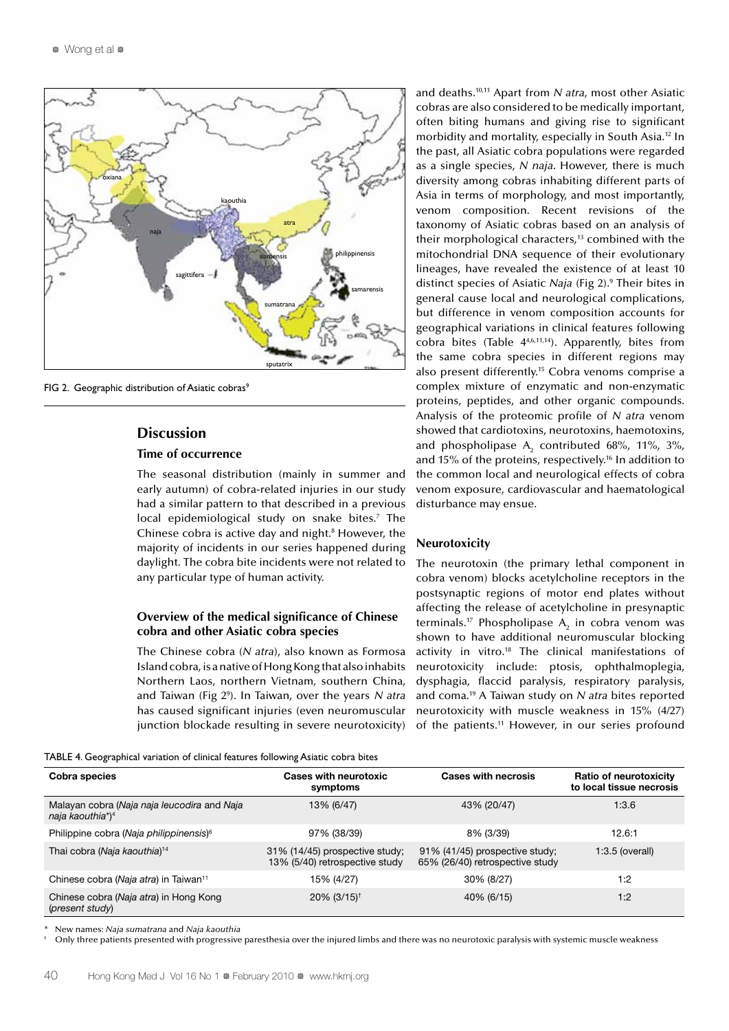

FIG 2. Geographic distribution of Asiatic cobras<sup>9</sup>

# **Discussion**

## **Time of occurrence**

The seasonal distribution (mainly in summer and early autumn) of cobra-related injuries in our study had a similar pattern to that described in a previous local epidemiological study on snake bites.<sup>7</sup> The Chinese cobra is active day and night.<sup>8</sup> However, the majority of incidents in our series happened during daylight. The cobra bite incidents were not related to any particular type of human activity.

## **Overview of the medical significance of Chinese cobra and other Asiatic cobra species**

The Chinese cobra (*N atra*), also known as Formosa Island cobra, is a native of Hong Kong that also inhabits Northern Laos, northern Vietnam, southern China, and Taiwan (Fig 29 ). In Taiwan, over the years *N atra* has caused significant injuries (even neuromuscular junction blockade resulting in severe neurotoxicity) and deaths.10,11 Apart from *N atra*, most other Asiatic cobras are also considered to be medically important, often biting humans and giving rise to significant morbidity and mortality, especially in South Asia.12 In the past, all Asiatic cobra populations were regarded as a single species, *N naja*. However, there is much diversity among cobras inhabiting different parts of Asia in terms of morphology, and most importantly, venom composition. Recent revisions of the taxonomy of Asiatic cobras based on an analysis of their morphological characters,<sup>13</sup> combined with the mitochondrial DNA sequence of their evolutionary lineages, have revealed the existence of at least 10 distinct species of Asiatic *Naja* (Fig 2).9 Their bites in general cause local and neurological complications, but difference in venom composition accounts for geographical variations in clinical features following cobra bites (Table  $4^{4,6,11,14}$ ). Apparently, bites from the same cobra species in different regions may also present differently.15 Cobra venoms comprise a complex mixture of enzymatic and non-enzymatic proteins, peptides, and other organic compounds. Analysis of the proteomic profile of *N atra* venom showed that cardiotoxins, neurotoxins, haemotoxins, and phospholipase  $A_2$  contributed 68%, 11%, 3%, and 15% of the proteins, respectively.<sup>16</sup> In addition to the common local and neurological effects of cobra venom exposure, cardiovascular and haematological disturbance may ensue.

# **Neurotoxicity**

The neurotoxin (the primary lethal component in cobra venom) blocks acetylcholine receptors in the postsynaptic regions of motor end plates without affecting the release of acetylcholine in presynaptic terminals.<sup>17</sup> Phospholipase  $A_2$  in cobra venom was shown to have additional neuromuscular blocking activity in vitro.18 The clinical manifestations of neurotoxicity include: ptosis, ophthalmoplegia, dysphagia, flaccid paralysis, respiratory paralysis, and coma.19 A Taiwan study on *N atra* bites reported neurotoxicity with muscle weakness in 15% (4/27) of the patients.<sup>11</sup> However, in our series profound

| TABLE 4. Geographical variation of clinical features following Asiatic cobra bites |  |  |  |
|------------------------------------------------------------------------------------|--|--|--|
|                                                                                    |  |  |  |

| Cobra species                                                               | <b>Cases with neurotoxic</b><br>symptoms                         | <b>Cases with necrosis</b>                                        | <b>Ratio of neurotoxicity</b><br>to local tissue necrosis |
|-----------------------------------------------------------------------------|------------------------------------------------------------------|-------------------------------------------------------------------|-----------------------------------------------------------|
| Malayan cobra (Naja naja leucodira and Naja<br>naja kaouthia*) <sup>4</sup> | 13% (6/47)                                                       | 43% (20/47)                                                       | 1:3.6                                                     |
| Philippine cobra (Naja philippinensis) <sup>6</sup>                         | 97% (38/39)                                                      | 8% (3/39)                                                         | 12.6:1                                                    |
| Thai cobra (Naja kaouthia) <sup>14</sup>                                    | 31% (14/45) prospective study;<br>13% (5/40) retrospective study | 91% (41/45) prospective study;<br>65% (26/40) retrospective study | $1:3.5$ (overall)                                         |
| Chinese cobra (Naja atra) in Taiwan <sup>11</sup>                           | 15% (4/27)                                                       | 30% (8/27)                                                        | 1:2                                                       |
| Chinese cobra (Naja atra) in Hong Kong<br>(present study)                   | 20% (3/15) <sup>†</sup>                                          | 40% (6/15)                                                        | 1:2                                                       |

\* New names: *Naja sumatrana* and *Naja kaouthia*

Only three patients presented with progressive paresthesia over the injured limbs and there was no neurotoxic paralysis with systemic muscle weakness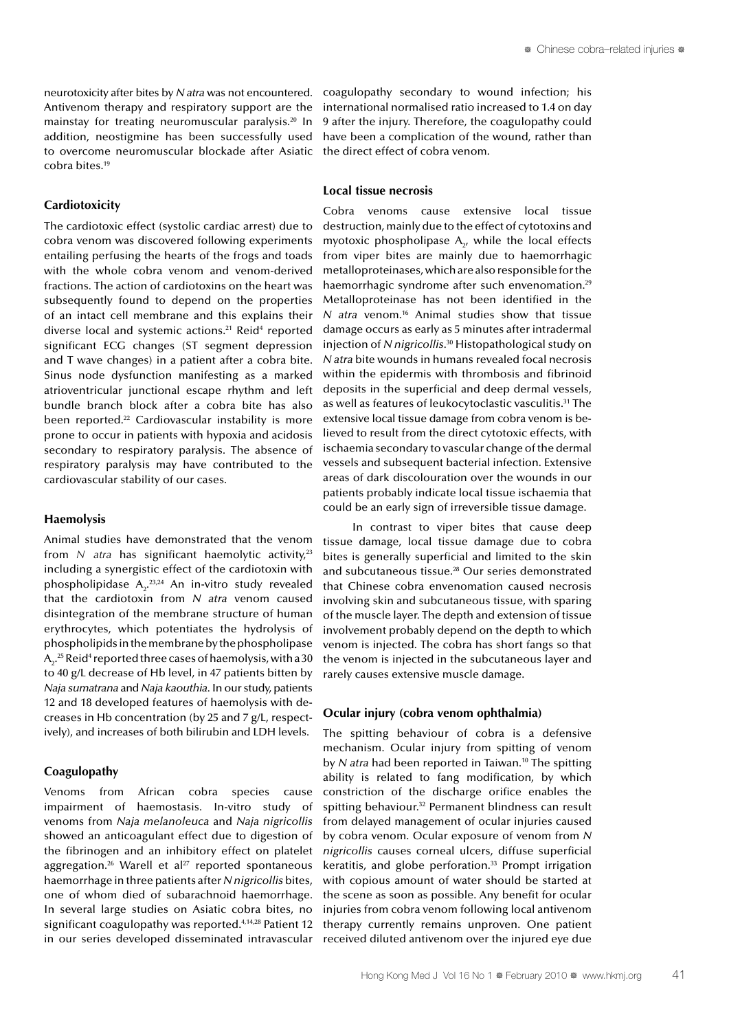neurotoxicity after bites by *N atra* was not encountered. Antivenom therapy and respiratory support are the mainstay for treating neuromuscular paralysis.20 In addition, neostigmine has been successfully used to overcome neuromuscular blockade after Asiatic cobra bites.19

#### **Cardiotoxicity**

The cardiotoxic effect (systolic cardiac arrest) due to cobra venom was discovered following experiments entailing perfusing the hearts of the frogs and toads with the whole cobra venom and venom-derived fractions. The action of cardiotoxins on the heart was subsequently found to depend on the properties of an intact cell membrane and this explains their diverse local and systemic actions.<sup>21</sup> Reid<sup>4</sup> reported significant ECG changes (ST segment depression and T wave changes) in a patient after a cobra bite. Sinus node dysfunction manifesting as a marked atrioventricular junctional escape rhythm and left bundle branch block after a cobra bite has also been reported.<sup>22</sup> Cardiovascular instability is more prone to occur in patients with hypoxia and acidosis secondary to respiratory paralysis. The absence of respiratory paralysis may have contributed to the cardiovascular stability of our cases.

### **Haemolysis**

Animal studies have demonstrated that the venom from  $N$  atra has significant haemolytic activity,<sup>23</sup> including a synergistic effect of the cardiotoxin with phospholipidase  $A_2$ <sup>23,24</sup> An in-vitro study revealed that the cardiotoxin from *N atra* venom caused disintegration of the membrane structure of human erythrocytes, which potentiates the hydrolysis of phospholipids in the membrane by the phospholipase  $\mathsf{A}_2$ .<sup>25</sup> Reid<sup>4</sup> reported three cases of haemolysis, with a 30 to 40 g/L decrease of Hb level, in 47 patients bitten by *Naja sumatrana* and *Naja kaouthia*. In our study, patients 12 and 18 developed features of haemolysis with decreases in Hb concentration (by 25 and 7 g/L, respectively), and increases of both bilirubin and LDH levels.

#### **Coagulopathy**

Venoms from African cobra species cause impairment of haemostasis. In-vitro study of venoms from *Naja melanoleuca* and *Naja nigricollis* showed an anticoagulant effect due to digestion of the fibrinogen and an inhibitory effect on platelet aggregation.<sup>26</sup> Warell et al<sup>27</sup> reported spontaneous haemorrhage in three patients after *N nigricollis* bites, one of whom died of subarachnoid haemorrhage. In several large studies on Asiatic cobra bites, no significant coagulopathy was reported.<sup>4,14,28</sup> Patient 12 in our series developed disseminated intravascular coagulopathy secondary to wound infection; his international normalised ratio increased to 1.4 on day 9 after the injury. Therefore, the coagulopathy could have been a complication of the wound, rather than the direct effect of cobra venom.

### **Local tissue necrosis**

Cobra venoms cause extensive local tissue destruction, mainly due to the effect of cytotoxins and myotoxic phospholipase  $A_{2}$ , while the local effects from viper bites are mainly due to haemorrhagic metalloproteinases, which are also responsible for the haemorrhagic syndrome after such envenomation.<sup>29</sup> Metalloproteinase has not been identified in the *N atra* venom.16 Animal studies show that tissue damage occurs as early as 5 minutes after intradermal injection of *N nigricollis*.<sup>30</sup> Histopathological study on *N atra* bite wounds in humans revealed focal necrosis within the epidermis with thrombosis and fibrinoid deposits in the superficial and deep dermal vessels, as well as features of leukocytoclastic vasculitis.<sup>31</sup> The extensive local tissue damage from cobra venom is believed to result from the direct cytotoxic effects, with ischaemia secondary to vascular change of the dermal vessels and subsequent bacterial infection. Extensive areas of dark discolouration over the wounds in our patients probably indicate local tissue ischaemia that could be an early sign of irreversible tissue damage.

In contrast to viper bites that cause deep tissue damage, local tissue damage due to cobra bites is generally superficial and limited to the skin and subcutaneous tissue.28 Our series demonstrated that Chinese cobra envenomation caused necrosis involving skin and subcutaneous tissue, with sparing of the muscle layer. The depth and extension of tissue involvement probably depend on the depth to which venom is injected. The cobra has short fangs so that the venom is injected in the subcutaneous layer and rarely causes extensive muscle damage.

#### **Ocular injury (cobra venom ophthalmia)**

The spitting behaviour of cobra is a defensive mechanism. Ocular injury from spitting of venom by *N* atra had been reported in Taiwan.<sup>10</sup> The spitting ability is related to fang modification, by which constriction of the discharge orifice enables the spitting behaviour.<sup>32</sup> Permanent blindness can result from delayed management of ocular injuries caused by cobra venom. Ocular exposure of venom from *N nigricollis* causes corneal ulcers, diffuse superficial keratitis, and globe perforation. $33$  Prompt irrigation with copious amount of water should be started at the scene as soon as possible. Any benefit for ocular injuries from cobra venom following local antivenom therapy currently remains unproven. One patient received diluted antivenom over the injured eye due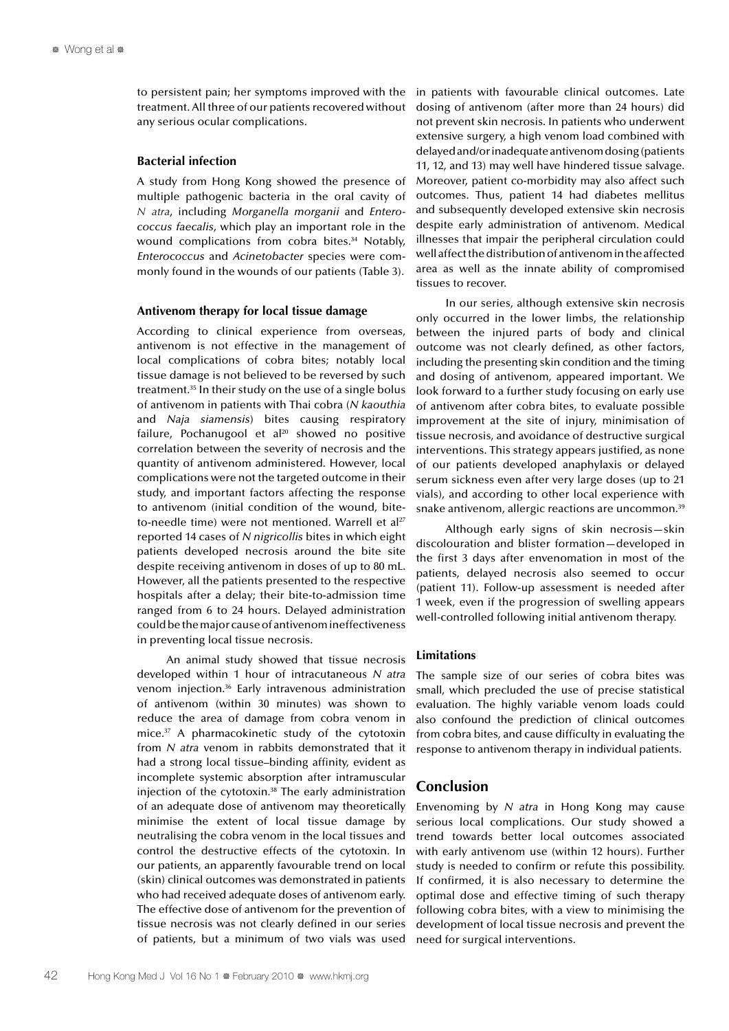to persistent pain; her symptoms improved with the treatment. All three of our patients recovered without any serious ocular complications.

#### **Bacterial infection**

A study from Hong Kong showed the presence of multiple pathogenic bacteria in the oral cavity of *N atra*, including *Morganella morganii* and *Enterococcus faecalis*, which play an important role in the wound complications from cobra bites.<sup>34</sup> Notably, *Enterococcus* and *Acinetobacter* species were commonly found in the wounds of our patients (Table 3).

#### **Antivenom therapy for local tissue damage**

According to clinical experience from overseas, antivenom is not effective in the management of local complications of cobra bites; notably local tissue damage is not believed to be reversed by such treatment.35 In their study on the use of a single bolus of antivenom in patients with Thai cobra (*N kaouthia* and *Naja siamensis*) bites causing respiratory failure, Pochanugool et al $20$  showed no positive correlation between the severity of necrosis and the quantity of antivenom administered. However, local complications were not the targeted outcome in their study, and important factors affecting the response to antivenom (initial condition of the wound, biteto-needle time) were not mentioned. Warrell et  $a^{127}$ reported 14 cases of *N nigricollis* bites in which eight patients developed necrosis around the bite site despite receiving antivenom in doses of up to 80 mL. However, all the patients presented to the respective hospitals after a delay; their bite-to-admission time ranged from 6 to 24 hours. Delayed administration could be the major cause of antivenom ineffectiveness in preventing local tissue necrosis.

An animal study showed that tissue necrosis developed within 1 hour of intracutaneous *N atra* venom injection.36 Early intravenous administration of antivenom (within 30 minutes) was shown to reduce the area of damage from cobra venom in mice.37 A pharmacokinetic study of the cytotoxin from *N atra* venom in rabbits demonstrated that it had a strong local tissue–binding affinity, evident as incomplete systemic absorption after intramuscular injection of the cytotoxin.38 The early administration of an adequate dose of antivenom may theoretically minimise the extent of local tissue damage by neutralising the cobra venom in the local tissues and control the destructive effects of the cytotoxin. In our patients, an apparently favourable trend on local (skin) clinical outcomes was demonstrated in patients who had received adequate doses of antivenom early. The effective dose of antivenom for the prevention of tissue necrosis was not clearly defined in our series of patients, but a minimum of two vials was used

in patients with favourable clinical outcomes. Late dosing of antivenom (after more than 24 hours) did not prevent skin necrosis. In patients who underwent extensive surgery, a high venom load combined with delayed and/or inadequate antivenom dosing (patients 11, 12, and 13) may well have hindered tissue salvage. Moreover, patient co-morbidity may also affect such outcomes. Thus, patient 14 had diabetes mellitus and subsequently developed extensive skin necrosis despite early administration of antivenom. Medical illnesses that impair the peripheral circulation could well affect the distribution of antivenom in the affected area as well as the innate ability of compromised tissues to recover.

In our series, although extensive skin necrosis only occurred in the lower limbs, the relationship between the injured parts of body and clinical outcome was not clearly defined, as other factors, including the presenting skin condition and the timing and dosing of antivenom, appeared important. We look forward to a further study focusing on early use of antivenom after cobra bites, to evaluate possible improvement at the site of injury, minimisation of tissue necrosis, and avoidance of destructive surgical interventions. This strategy appears justified, as none of our patients developed anaphylaxis or delayed serum sickness even after very large doses (up to 21 vials), and according to other local experience with snake antivenom, allergic reactions are uncommon.<sup>39</sup>

Although early signs of skin necrosis—skin discolouration and blister formation—developed in the first 3 days after envenomation in most of the patients, delayed necrosis also seemed to occur (patient 11). Follow-up assessment is needed after 1 week, even if the progression of swelling appears well-controlled following initial antivenom therapy.

## **Limitations**

The sample size of our series of cobra bites was small, which precluded the use of precise statistical evaluation. The highly variable venom loads could also confound the prediction of clinical outcomes from cobra bites, and cause difficulty in evaluating the response to antivenom therapy in individual patients.

# **Conclusion**

Envenoming by *N atra* in Hong Kong may cause serious local complications. Our study showed a trend towards better local outcomes associated with early antivenom use (within 12 hours). Further study is needed to confirm or refute this possibility. If confirmed, it is also necessary to determine the optimal dose and effective timing of such therapy following cobra bites, with a view to minimising the development of local tissue necrosis and prevent the need for surgical interventions.